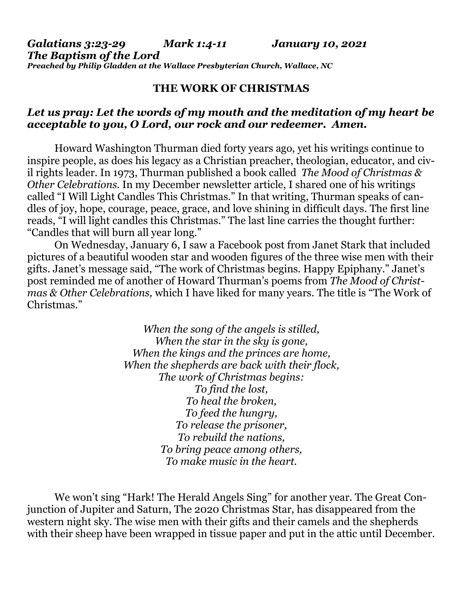*Galatians 3:23-29 Mark 1:4-11 January 10, 2021 The Baptism of the Lord Preached by Philip Gladden at the Wallace Presbyterian Church, Wallace, NC*

## **THE WORK OF CHRISTMAS**

# *Let us pray: Let the words of my mouth and the meditation of my heart be acceptable to you, O Lord, our rock and our redeemer. Amen.*

Howard Washington Thurman died forty years ago, yet his writings continue to inspire people, as does his legacy as a Christian preacher, theologian, educator, and civil rights leader. In 1973, Thurman published a book called *The Mood of Christmas & Other Celebrations.* In my December newsletter article, I shared one of his writings called "I Will Light Candles This Christmas." In that writing, Thurman speaks of candles of joy, hope, courage, peace, grace, and love shining in difficult days. The first line reads, "I will light candles this Christmas." The last line carries the thought further: "Candles that will burn all year long."

On Wednesday, January 6, I saw a Facebook post from Janet Stark that included pictures of a beautiful wooden star and wooden figures of the three wise men with their gifts. Janet's message said, "The work of Christmas begins. Happy Epiphany." Janet's post reminded me of another of Howard Thurman's poems from *The Mood of Christmas & Other Celebrations,* which I have liked for many years. The title is "The Work of Christmas."

> *When the song of the angels is stilled, When the star in the sky is gone, When the kings and the princes are home, When the shepherds are back with their flock, The work of Christmas begins: To find the lost, To heal the broken, To feed the hungry, To release the prisoner, To rebuild the nations, To bring peace among others, To make music in the heart.*

We won't sing "Hark! The Herald Angels Sing" for another year. The Great Conjunction of Jupiter and Saturn, The 2020 Christmas Star, has disappeared from the western night sky. The wise men with their gifts and their camels and the shepherds with their sheep have been wrapped in tissue paper and put in the attic until December.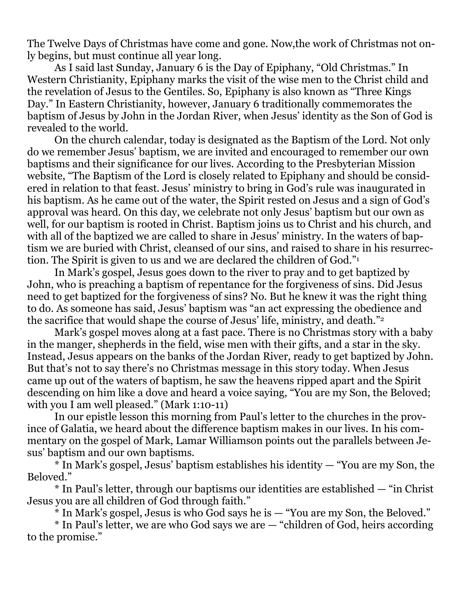The Twelve Days of Christmas have come and gone. Now,the work of Christmas not only begins, but must continue all year long.

As I said last Sunday, January 6 is the Day of Epiphany, "Old Christmas." In Western Christianity, Epiphany marks the visit of the wise men to the Christ child and the revelation of Jesus to the Gentiles. So, Epiphany is also known as "Three Kings Day." In Eastern Christianity, however, January 6 traditionally commemorates the baptism of Jesus by John in the Jordan River, when Jesus' identity as the Son of God is revealed to the world.

On the church calendar, today is designated as the Baptism of the Lord. Not only do we remember Jesus' baptism, we are invited and encouraged to remember our own baptisms and their significance for our lives. According to the Presbyterian Mission website, "The Baptism of the Lord is closely related to Epiphany and should be considered in relation to that feast. Jesus' ministry to bring in God's rule was inaugurated in his baptism. As he came out of the water, the Spirit rested on Jesus and a sign of God's approval was heard. On this day, we celebrate not only Jesus' baptism but our own as well, for our baptism is rooted in Christ. Baptism joins us to Christ and his church, and with all of the baptized we are called to share in Jesus' ministry. In the waters of baptism we are buried with Christ, cleansed of our sins, and raised to share in his resurrection. The Spirit is given to us and we are declared the children of God."<sup>1</sup>

In Mark's gospel, Jesus goes down to the river to pray and to get baptized by John, who is preaching a baptism of repentance for the forgiveness of sins. Did Jesus need to get baptized for the forgiveness of sins? No. But he knew it was the right thing to do. As someone has said, Jesus' baptism was "an act expressing the obedience and the sacrifice that would shape the course of Jesus' life, ministry, and death."<sup>2</sup>

Mark's gospel moves along at a fast pace. There is no Christmas story with a baby in the manger, shepherds in the field, wise men with their gifts, and a star in the sky. Instead, Jesus appears on the banks of the Jordan River, ready to get baptized by John. But that's not to say there's no Christmas message in this story today. When Jesus came up out of the waters of baptism, he saw the heavens ripped apart and the Spirit descending on him like a dove and heard a voice saying, "You are my Son, the Beloved; with you I am well pleased." (Mark 1:10-11)

In our epistle lesson this morning from Paul's letter to the churches in the province of Galatia, we heard about the difference baptism makes in our lives. In his commentary on the gospel of Mark, Lamar Williamson points out the parallels between Jesus' baptism and our own baptisms.

 $*$  In Mark's gospel, Jesus' baptism establishes his identity  $-$  "You are my Son, the Beloved."

\* In Paul's letter, through our baptisms our identities are established — "in Christ Jesus you are all children of God through faith."

\* In Mark's gospel, Jesus is who God says he is — "You are my Son, the Beloved."

\* In Paul's letter, we are who God says we are — "children of God, heirs according to the promise."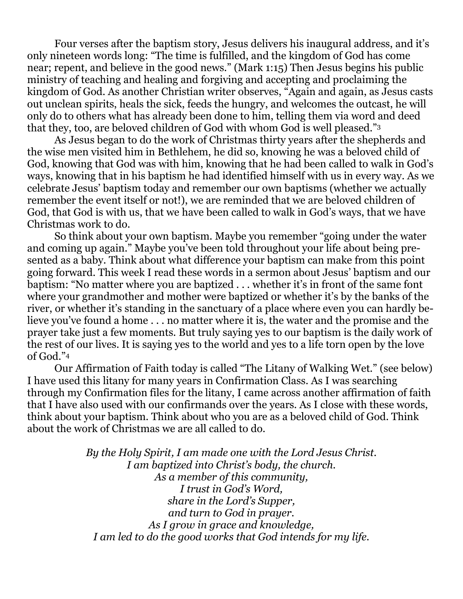Four verses after the baptism story, Jesus delivers his inaugural address, and it's only nineteen words long: "The time is fulfilled, and the kingdom of God has come near; repent, and believe in the good news." (Mark 1:15) Then Jesus begins his public ministry of teaching and healing and forgiving and accepting and proclaiming the kingdom of God. As another Christian writer observes, "Again and again, as Jesus casts out unclean spirits, heals the sick, feeds the hungry, and welcomes the outcast, he will only do to others what has already been done to him, telling them via word and deed that they, too, are beloved children of God with whom God is well pleased."<sup>3</sup>

As Jesus began to do the work of Christmas thirty years after the shepherds and the wise men visited him in Bethlehem, he did so, knowing he was a beloved child of God, knowing that God was with him, knowing that he had been called to walk in God's ways, knowing that in his baptism he had identified himself with us in every way. As we celebrate Jesus' baptism today and remember our own baptisms (whether we actually remember the event itself or not!), we are reminded that we are beloved children of God, that God is with us, that we have been called to walk in God's ways, that we have Christmas work to do.

So think about your own baptism. Maybe you remember "going under the water and coming up again." Maybe you've been told throughout your life about being presented as a baby. Think about what difference your baptism can make from this point going forward. This week I read these words in a sermon about Jesus' baptism and our baptism: "No matter where you are baptized . . . whether it's in front of the same font where your grandmother and mother were baptized or whether it's by the banks of the river, or whether it's standing in the sanctuary of a place where even you can hardly believe you've found a home . . . no matter where it is, the water and the promise and the prayer take just a few moments. But truly saying yes to our baptism is the daily work of the rest of our lives. It is saying yes to the world and yes to a life torn open by the love of God."<sup>4</sup>

Our Affirmation of Faith today is called "The Litany of Walking Wet." (see below) I have used this litany for many years in Confirmation Class. As I was searching through my Confirmation files for the litany, I came across another affirmation of faith that I have also used with our confirmands over the years. As I close with these words, think about your baptism. Think about who you are as a beloved child of God. Think about the work of Christmas we are all called to do.

> *By the Holy Spirit, I am made one with the Lord Jesus Christ. I am baptized into Christ's body, the church. As a member of this community, I trust in God's Word, share in the Lord's Supper, and turn to God in prayer. As I grow in grace and knowledge, I am led to do the good works that God intends for my life.*